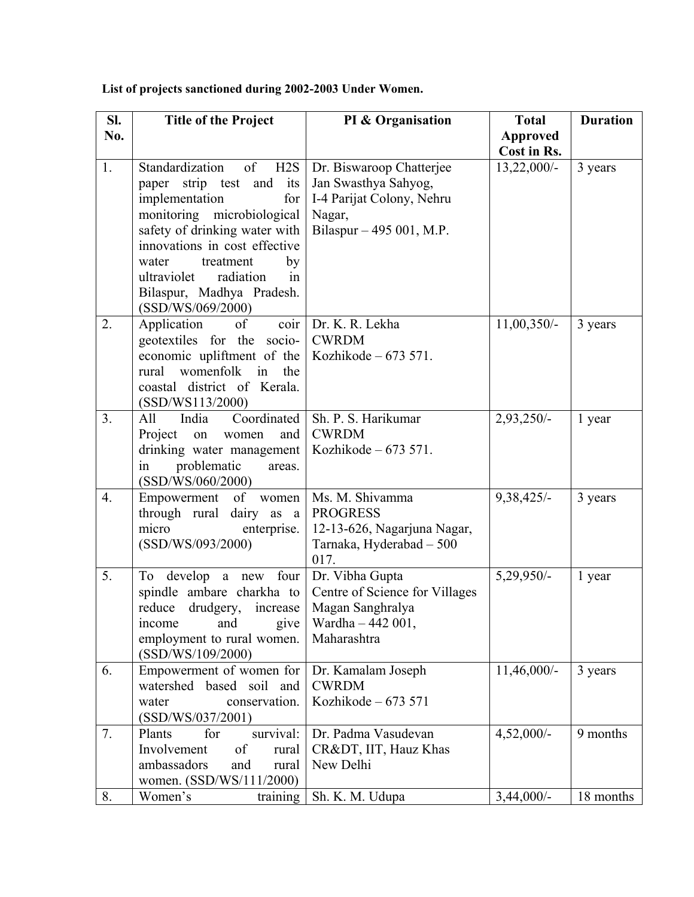| SI. | <b>Title of the Project</b>                                                                                                                                                                                                                                                                                          | PI & Organisation                                                                                                   | <b>Total</b>    | <b>Duration</b> |
|-----|----------------------------------------------------------------------------------------------------------------------------------------------------------------------------------------------------------------------------------------------------------------------------------------------------------------------|---------------------------------------------------------------------------------------------------------------------|-----------------|-----------------|
| No. |                                                                                                                                                                                                                                                                                                                      |                                                                                                                     | <b>Approved</b> |                 |
|     |                                                                                                                                                                                                                                                                                                                      |                                                                                                                     | Cost in Rs.     |                 |
| 1.  | Standardization<br>of<br>H2S<br>strip test and<br>its<br>paper<br>implementation<br>for <sub>1</sub><br>monitoring microbiological<br>safety of drinking water with<br>innovations in cost effective<br>water<br>treatment<br>by<br>ultraviolet<br>radiation<br>in<br>Bilaspur, Madhya Pradesh.<br>(SSD/WS/069/2000) | Dr. Biswaroop Chatterjee<br>Jan Swasthya Sahyog,<br>I-4 Parijat Colony, Nehru<br>Nagar,<br>Bilaspur - 495 001, M.P. | $13,22,000/-$   | 3 years         |
| 2.  | coir<br>Application<br>of<br>geotextiles for the socio-<br>economic upliftment of the<br>womenfolk in<br>rural<br>the<br>coastal district of Kerala.<br>(SSD/WS113/2000)                                                                                                                                             | Dr. K. R. Lekha<br><b>CWRDM</b><br>Kozhikode $-673571$ .                                                            | $11,00,350/-$   | 3 years         |
| 3.  | Coordinated<br>All<br>India<br>Project<br>on<br>women<br>and<br>drinking water management<br>in<br>problematic<br>areas.<br>(SSD/WS/060/2000)                                                                                                                                                                        | Sh. P. S. Harikumar<br><b>CWRDM</b><br>Kozhikode – 673 571.                                                         | 2,93,250/-      | 1 year          |
| 4.  | Empowerment of<br>women<br>through rural dairy as a<br>micro<br>enterprise.<br>(SSD/WS/093/2000)                                                                                                                                                                                                                     | Ms. M. Shivamma<br><b>PROGRESS</b><br>12-13-626, Nagarjuna Nagar,<br>Tarnaka, Hyderabad - 500<br>017.               | 9,38,425/-      | 3 years         |
| 5.  | To develop a new four<br>spindle ambare charkha to<br>reduce<br>drudgery, increase<br>and<br>give<br>income<br>employment to rural women.<br>(SSD/WS/109/2000)                                                                                                                                                       | Dr. Vibha Gupta<br>Centre of Science for Villages<br>Magan Sanghralya<br>Wardha - 442 001,<br>Maharashtra           | 5,29,950/-      | 1 year          |
| 6.  | Empowerment of women for<br>watershed based soil and<br>conservation.<br>water<br>(SSD/WS/037/2001)                                                                                                                                                                                                                  | Dr. Kamalam Joseph<br><b>CWRDM</b><br>Kozhikode $-673571$                                                           | $11,46,000/-$   | 3 years         |
| 7.  | Plants<br>for<br>survival:<br>Involvement<br>of<br>rural<br>ambassadors<br>and<br>rural<br>women. (SSD/WS/111/2000)                                                                                                                                                                                                  | Dr. Padma Vasudevan<br>CR&DT, IIT, Hauz Khas<br>New Delhi                                                           | $4,52,000/-$    | 9 months        |
| 8.  | Women's<br>training                                                                                                                                                                                                                                                                                                  | Sh. K. M. Udupa                                                                                                     | $3,44,000/-$    | 18 months       |

**List of projects sanctioned during 2002-2003 Under Women.**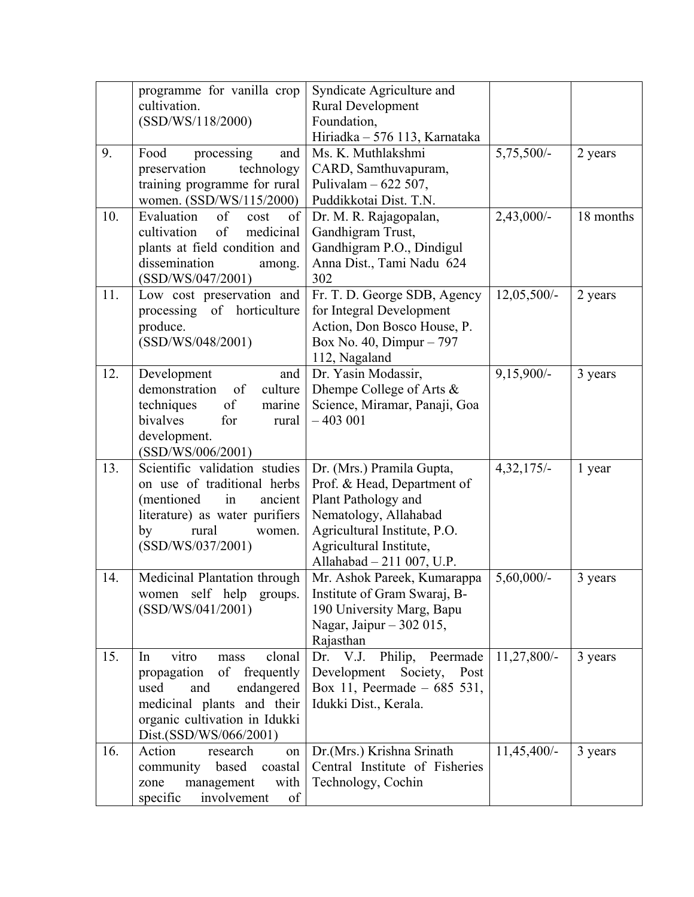|     | programme for vanilla crop<br>cultivation.<br>(SSD/WS/118/2000)                                                                                                                     | Syndicate Agriculture and<br><b>Rural Development</b><br>Foundation,<br>Hiriadka - 576 113, Karnataka                                                                                            |               |           |
|-----|-------------------------------------------------------------------------------------------------------------------------------------------------------------------------------------|--------------------------------------------------------------------------------------------------------------------------------------------------------------------------------------------------|---------------|-----------|
| 9.  | Food<br>processing<br>and<br>preservation<br>technology<br>training programme for rural<br>women. (SSD/WS/115/2000)                                                                 | Ms. K. Muthlakshmi<br>CARD, Samthuvapuram,<br>Pulivalam $-622507$ ,<br>Puddikkotai Dist. T.N.                                                                                                    | 5,75,500/-    | 2 years   |
| 10. | Evaluation<br>of<br>of<br>cost<br>medicinal<br>cultivation<br>of<br>plants at field condition and<br>dissemination<br>among.<br>(SSD/WS/047/2001)                                   | Dr. M. R. Rajagopalan,<br>Gandhigram Trust,<br>Gandhigram P.O., Dindigul<br>Anna Dist., Tami Nadu 624<br>302                                                                                     | 2,43,000/-    | 18 months |
| 11. | Low cost preservation and<br>processing of horticulture<br>produce.<br>(SSD/WS/048/2001)                                                                                            | Fr. T. D. George SDB, Agency<br>for Integral Development<br>Action, Don Bosco House, P.<br>Box No. 40, Dimpur - 797<br>112, Nagaland                                                             | $12,05,500/-$ | 2 years   |
| 12. | Development<br>and<br>demonstration<br>of<br>culture<br>of<br>techniques<br>marine<br>bivalves<br>for<br>rural<br>development.<br>(SSD/WS/006/2001)                                 | Dr. Yasin Modassir,<br>Dhempe College of Arts &<br>Science, Miramar, Panaji, Goa<br>$-403001$                                                                                                    | 9,15,900/-    | 3 years   |
| 13. | Scientific validation studies<br>on use of traditional herbs<br>(mentioned)<br>in<br>ancient<br>literature) as water purifiers<br>rural<br>by<br>women.<br>(SSD/WS/037/2001)        | Dr. (Mrs.) Pramila Gupta,<br>Prof. & Head, Department of<br>Plant Pathology and<br>Nematology, Allahabad<br>Agricultural Institute, P.O.<br>Agricultural Institute,<br>Allahabad - 211 007, U.P. | $4,32,175/-$  | 1 year    |
| 14. | Medicinal Plantation through<br>women self help groups.<br>(SSD/WS/041/2001)                                                                                                        | Mr. Ashok Pareek, Kumarappa<br>Institute of Gram Swaraj, B-<br>190 University Marg, Bapu<br>Nagar, Jaipur – 302 015,<br>Rajasthan                                                                | $5,60,000/$ - | 3 years   |
| 15. | vitro<br>clonal<br>In<br>mass<br>of frequently<br>propagation<br>endangered<br>used<br>and<br>medicinal plants and their<br>organic cultivation in Idukki<br>Dist.(SSD/WS/066/2001) | Dr. V.J.<br>Philip, Peermade<br>Development<br>Post<br>Society,<br>Box 11, Peermade $-685$ 531,<br>Idukki Dist., Kerala.                                                                         | 11,27,800/-   | 3 years   |
| 16. | Action<br>research<br>on<br>based<br>community<br>coastal<br>with<br>management<br>zone<br>involvement<br>specific<br>of                                                            | Dr.(Mrs.) Krishna Srinath<br>Central Institute of Fisheries<br>Technology, Cochin                                                                                                                | $11,45,400/-$ | 3 years   |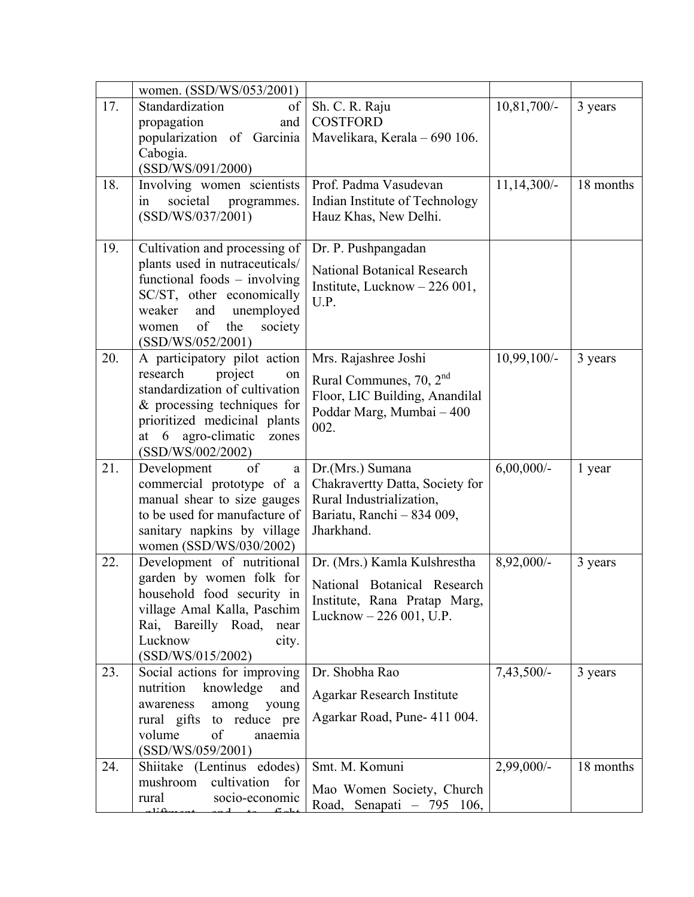|     | women. (SSD/WS/053/2001)                                                                                                                                                                                               |                                                                                                                                    |               |           |
|-----|------------------------------------------------------------------------------------------------------------------------------------------------------------------------------------------------------------------------|------------------------------------------------------------------------------------------------------------------------------------|---------------|-----------|
| 17. | Standardization<br>of  <br>propagation<br>and<br>popularization of Garcinia<br>Cabogia.<br>(SSD/WS/091/2000)                                                                                                           | Sh. C. R. Raju<br><b>COSTFORD</b><br>Mavelikara, Kerala - 690 106.                                                                 | 10,81,700/-   | 3 years   |
| 18. | Involving women scientists<br>societal<br>programmes.<br>in<br>(SSD/WS/037/2001)                                                                                                                                       | Prof. Padma Vasudevan<br>Indian Institute of Technology<br>Hauz Khas, New Delhi.                                                   | $11,14,300/-$ | 18 months |
| 19. | Cultivation and processing of<br>plants used in nutraceuticals/<br>functional foods – involving<br>SC/ST, other economically<br>unemployed<br>weaker<br>and<br>of<br>the<br>society<br>women<br>(SSD/WS/052/2001)      | Dr. P. Pushpangadan<br><b>National Botanical Research</b><br>Institute, Lucknow $-226001$ ,<br>U.P.                                |               |           |
| 20. | A participatory pilot action<br>research<br>project<br>on<br>standardization of cultivation<br>$&$ processing techniques for<br>prioritized medicinal plants<br>agro-climatic<br>6<br>at<br>zones<br>(SSD/WS/002/2002) | Mrs. Rajashree Joshi<br>Rural Communes, 70, 2 <sup>nd</sup><br>Floor, LIC Building, Anandilal<br>Poddar Marg, Mumbai - 400<br>002. | $10,99,100/-$ | 3 years   |
| 21. | of<br>Development<br>a<br>commercial prototype of a<br>manual shear to size gauges<br>to be used for manufacture of<br>sanitary napkins by village<br>women (SSD/WS/030/2002)                                          | Dr.(Mrs.) Sumana<br>Chakravertty Datta, Society for<br>Rural Industrialization,<br>Bariatu, Ranchi - 834 009,<br>Jharkhand.        | $6,00,000/$ - | 1 year    |
| 22. | Development of nutritional<br>garden by women folk for<br>household food security in<br>village Amal Kalla, Paschim<br>Rai, Bareilly Road,<br>near<br>Lucknow<br>city.<br>(SSD/WS/015/2002)                            | Dr. (Mrs.) Kamla Kulshrestha<br>National Botanical Research<br>Institute, Rana Pratap Marg,<br>Lucknow - 226 001, U.P.             | 8,92,000/-    | 3 years   |
| 23. | Social actions for improving<br>nutrition<br>knowledge<br>and<br>among<br>awareness<br>young<br>rural gifts to reduce pre<br>volume<br>of<br>anaemia<br>(SSD/WS/059/2001)                                              | Dr. Shobha Rao<br>Agarkar Research Institute<br>Agarkar Road, Pune- 411 004.                                                       | $7,43,500/-$  | 3 years   |
| 24. | Shiitake (Lentinus edodes)<br>mushroom<br>cultivation<br>for<br>rural<br>socio-economic<br>$1: \alpha$                                                                                                                 | Smt. M. Komuni<br>Mao Women Society, Church<br>Road, Senapati - 795 106,                                                           | 2,99,000/-    | 18 months |